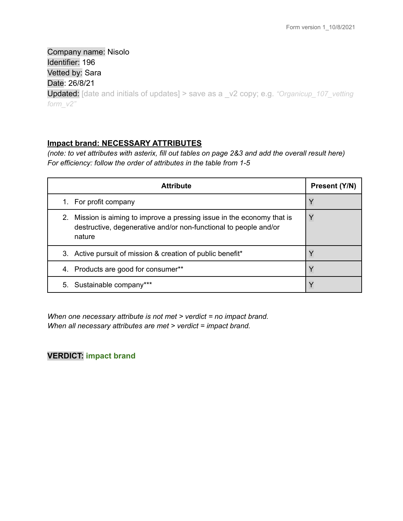Company name: Nisolo Identifier: 196 Vetted by: Sara Date: 26/8/21 Updated: [date and initials of updates] > save as a \_v2 copy; e.g. *"Organicup\_107\_vetting form\_v2"*

## **Impact brand: NECESSARY ATTRIBUTES**

(note: to vet attributes with asterix, fill out tables on page 2&3 and add the overall result here) *For efficiency: follow the order of attributes in the table from 1-5*

| <b>Attribute</b>                                                                                                                                      | Present (Y/N) |
|-------------------------------------------------------------------------------------------------------------------------------------------------------|---------------|
| 1. For profit company                                                                                                                                 | Y             |
| 2. Mission is aiming to improve a pressing issue in the economy that is<br>destructive, degenerative and/or non-functional to people and/or<br>nature |               |
| 3. Active pursuit of mission & creation of public benefit*                                                                                            |               |
| Products are good for consumer**<br>4.                                                                                                                |               |
| 5. Sustainable company***                                                                                                                             |               |

*When one necessary attribute is not met > verdict = no impact brand. When all necessary attributes are met > verdict = impact brand.*

# **VERDICT: impact brand**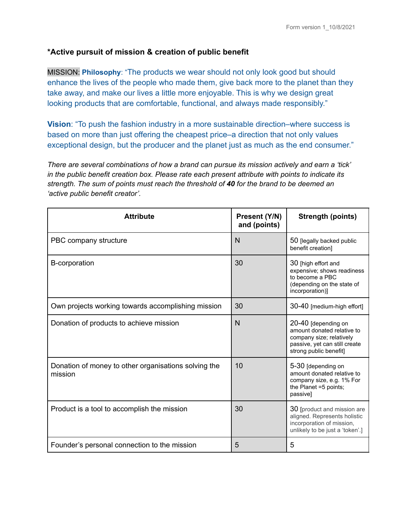## **\*Active pursuit of mission & creation of public benefit**

MISSION: **Philosophy**: "The products we wear should not only look good but should enhance the lives of the people who made them, give back more to the planet than they take away, and make our lives a little more enjoyable. This is why we design great looking products that are comfortable, functional, and always made responsibly."

**Vision**: "To push the fashion industry in a more sustainable direction–where success is based on more than just offering the cheapest price–a direction that not only values exceptional design, but the producer and the planet just as much as the end consumer."

*There are several combinations of how a brand can pursue its mission actively and earn a 'tick' in the public benefit creation box. Please rate each present attribute with points to indicate its strength. The sum of points must reach the threshold of 40 for the brand to be deemed an 'active public benefit creator'.*

| <b>Attribute</b>                                                | Present (Y/N)<br>and (points) | <b>Strength (points)</b>                                                                                                                 |
|-----------------------------------------------------------------|-------------------------------|------------------------------------------------------------------------------------------------------------------------------------------|
| PBC company structure                                           | N                             | 50 [legally backed public<br>benefit creation]                                                                                           |
| B-corporation                                                   | 30                            | 30 [high effort and<br>expensive; shows readiness<br>to become a PBC<br>(depending on the state of<br>incorporation)]                    |
| Own projects working towards accomplishing mission              | 30                            | 30-40 [medium-high effort]                                                                                                               |
| Donation of products to achieve mission                         | N                             | 20-40 [depending on<br>amount donated relative to<br>company size; relatively<br>passive, yet can still create<br>strong public benefit] |
| Donation of money to other organisations solving the<br>mission | 10                            | 5-30 [depending on<br>amount donated relative to<br>company size, e.g. 1% For<br>the Planet =5 points;<br>passivel                       |
| Product is a tool to accomplish the mission                     | 30                            | 30 [product and mission are<br>aligned. Represents holistic<br>incorporation of mission,<br>unlikely to be just a 'token'.]              |
| Founder's personal connection to the mission                    | 5                             | 5                                                                                                                                        |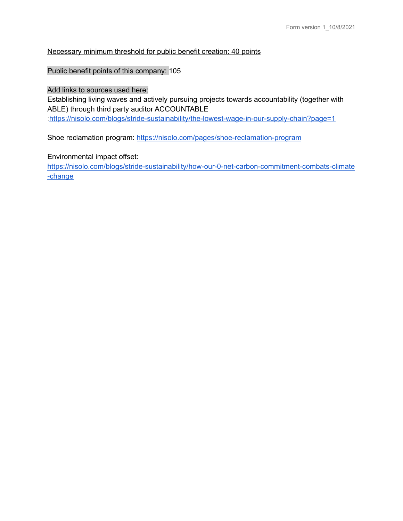### Necessary minimum threshold for public benefit creation: 40 points

### Public benefit points of this company: 105

#### Add links to sources used here:

Establishing living waves and actively pursuing projects towards accountability (together with ABLE) through third party auditor ACCOUNTABLE [:https://nisolo.com/blogs/stride-sustainability/the-lowest-wage-in-our-supply-chain?page=1](https://nisolo.com/blogs/stride-sustainability/the-lowest-wage-in-our-supply-chain?page=1)

Shoe reclamation program: <https://nisolo.com/pages/shoe-reclamation-program>

### Environmental impact offset:

[https://nisolo.com/blogs/stride-sustainability/how-our-0-net-carbon-commitment-combats-climate](https://nisolo.com/blogs/stride-sustainability/how-our-0-net-carbon-commitment-combats-climate-change) [-change](https://nisolo.com/blogs/stride-sustainability/how-our-0-net-carbon-commitment-combats-climate-change)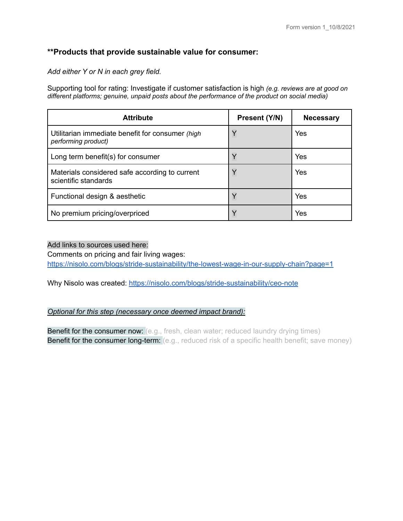### **\*\*Products that provide sustainable value for consumer:**

*Add either Y or N in each grey field.*

Supporting tool for rating: Investigate if customer satisfaction is high *(e.g. reviews are at good on different platforms; genuine, unpaid posts about the performance of the product on social media)*

| <b>Attribute</b>                                                        | Present (Y/N) | <b>Necessary</b> |
|-------------------------------------------------------------------------|---------------|------------------|
| Utilitarian immediate benefit for consumer (high<br>performing product) | Y             | Yes              |
| Long term benefit(s) for consumer                                       |               | Yes              |
| Materials considered safe according to current<br>scientific standards  | Y             | Yes              |
| Functional design & aesthetic                                           | Y             | Yes              |
| No premium pricing/overpriced                                           | $\checkmark$  | Yes              |

#### Add links to sources used here:

Comments on pricing and fair living wages: <https://nisolo.com/blogs/stride-sustainability/the-lowest-wage-in-our-supply-chain?page=1>

Why Nisolo was created: <https://nisolo.com/blogs/stride-sustainability/ceo-note>

*Optional for this step (necessary once deemed impact brand):*

**Benefit for the consumer now:** (e.g., fresh, clean water; reduced laundry drying times) **Benefit for the consumer long-term:** (e.g., reduced risk of a specific health benefit; save money)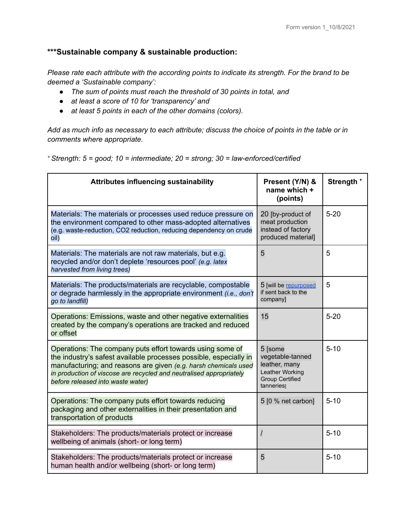# **\*\*\*Sustainable company & sustainable production:**

*Please rate each attribute with the according points to indicate its strength. For the brand to be deemed a 'Sustainable company':*

- *● The sum of points must reach the threshold of 30 points in total, and*
- *● at least a score of 10 for 'transparency' and*
- *● at least 5 points in each of the other domains (colors).*

Add as much info as necessary to each attribute; discuss the choice of points in the table or in *comments where appropriate.*

*<sup>+</sup> Strength: 5 = good; 10 = intermediate; 20 = strong; 30 = law-enforced/certified*

| <b>Attributes influencing sustainability</b>                                                                                                                                                                                                                                                                  | Present (Y/N) &<br>name which +<br>(points)                                                            | Strength <sup>+</sup> |
|---------------------------------------------------------------------------------------------------------------------------------------------------------------------------------------------------------------------------------------------------------------------------------------------------------------|--------------------------------------------------------------------------------------------------------|-----------------------|
| Materials: The materials or processes used reduce pressure on<br>the environment compared to other mass-adopted alternatives<br>(e.g. waste-reduction, CO2 reduction, reducing dependency on crude<br>oil)                                                                                                    | 20 [by-product of<br>meat production<br>instead of factory<br>produced material]                       | $5 - 20$              |
| Materials: The materials are not raw materials, but e.g.<br>recycled and/or don't deplete 'resources pool' (e.g. latex<br>harvested from living trees)                                                                                                                                                        | 5                                                                                                      | 5                     |
| Materials: The products/materials are recyclable, compostable<br>or degrade harmlessly in the appropriate environment <i>(i.e., don't</i><br>go to landfill)                                                                                                                                                  | 5 [will be repurposed<br>if sent back to the<br>company]                                               | 5                     |
| Operations: Emissions, waste and other negative externalities<br>created by the company's operations are tracked and reduced<br>or offset                                                                                                                                                                     | 15                                                                                                     | $5 - 20$              |
| Operations: The company puts effort towards using some of<br>the industry's safest available processes possible, especially in<br>manufacturing; and reasons are given (e.g. harsh chemicals used<br>in production of viscose are recycled and neutralised appropriately<br>before released into waste water) | 5 [some<br>vegetable-tanned<br>leather, many<br>Leather Working<br><b>Group Certified</b><br>tanneries | $5 - 10$              |
| Operations: The company puts effort towards reducing<br>packaging and other externalities in their presentation and<br>transportation of products                                                                                                                                                             | 5 [0 % net carbon]                                                                                     | $5 - 10$              |
| Stakeholders: The products/materials protect or increase<br>wellbeing of animals (short- or long term)                                                                                                                                                                                                        | $\prime$                                                                                               | $5 - 10$              |
| Stakeholders: The products/materials protect or increase<br>human health and/or wellbeing (short- or long term)                                                                                                                                                                                               | 5                                                                                                      | $5 - 10$              |